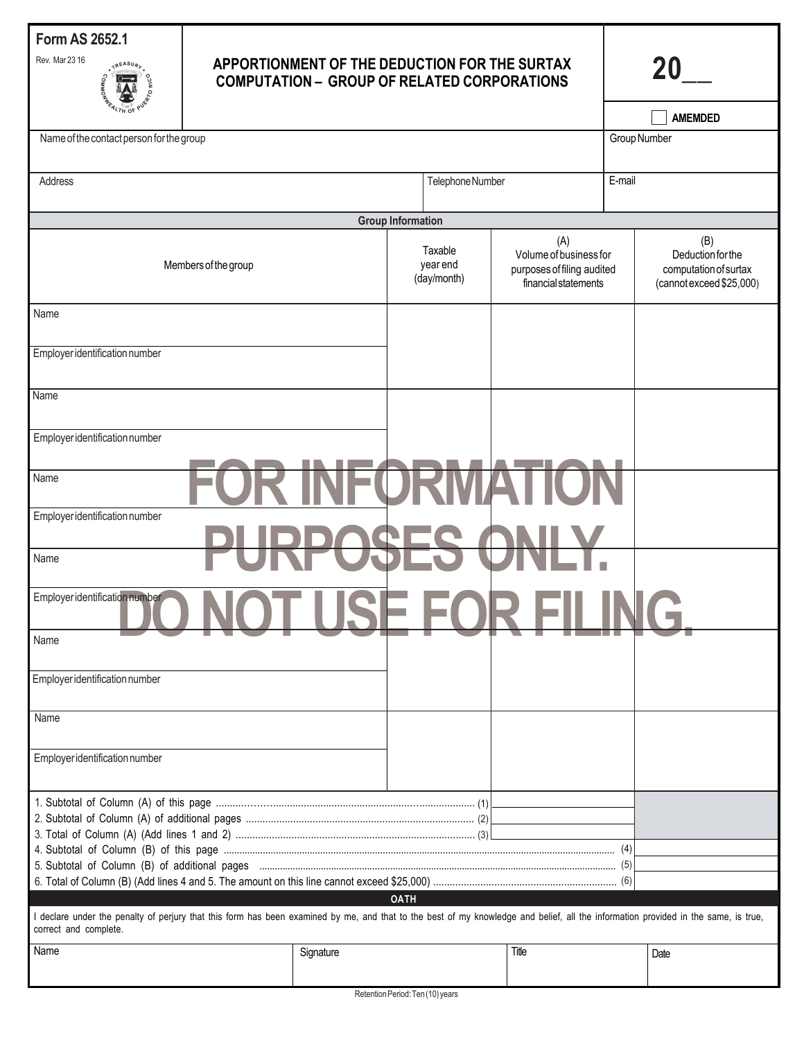

# **APPORTIONMENT OF THE DEDUCTION FOR THE SURTAX COMPUTATION – GROUP OF RELATED CORPORATIONS**

**20\_\_**

I

| זט אי                                                                                                                                                                                                       |           |                                    |                                                                              |        | <b>AMEMDED</b>                                                         |  |  |
|-------------------------------------------------------------------------------------------------------------------------------------------------------------------------------------------------------------|-----------|------------------------------------|------------------------------------------------------------------------------|--------|------------------------------------------------------------------------|--|--|
| Name of the contact person for the group                                                                                                                                                                    |           |                                    |                                                                              |        | Group Number                                                           |  |  |
|                                                                                                                                                                                                             |           |                                    |                                                                              |        |                                                                        |  |  |
| Address                                                                                                                                                                                                     |           | Telephone Number                   |                                                                              | E-mail |                                                                        |  |  |
|                                                                                                                                                                                                             |           |                                    |                                                                              |        |                                                                        |  |  |
| <b>Group Information</b>                                                                                                                                                                                    |           |                                    |                                                                              |        |                                                                        |  |  |
| (B)<br>(A)                                                                                                                                                                                                  |           |                                    |                                                                              |        |                                                                        |  |  |
| Members of the group                                                                                                                                                                                        |           | Taxable<br>year end<br>(day/month) | Volume of business for<br>purposes of filing audited<br>financial statements |        | Deduction for the<br>computation of surtax<br>(cannot exceed \$25,000) |  |  |
| Name                                                                                                                                                                                                        |           |                                    |                                                                              |        |                                                                        |  |  |
| Employer identification number                                                                                                                                                                              |           |                                    |                                                                              |        |                                                                        |  |  |
| Name                                                                                                                                                                                                        |           |                                    |                                                                              |        |                                                                        |  |  |
| Employer identification number                                                                                                                                                                              |           |                                    |                                                                              |        |                                                                        |  |  |
| Name                                                                                                                                                                                                        |           |                                    |                                                                              |        |                                                                        |  |  |
| Employer identification number                                                                                                                                                                              |           |                                    |                                                                              |        |                                                                        |  |  |
| Name                                                                                                                                                                                                        |           |                                    |                                                                              |        |                                                                        |  |  |
| Employer identification number                                                                                                                                                                              |           |                                    |                                                                              |        |                                                                        |  |  |
| Name                                                                                                                                                                                                        |           |                                    |                                                                              |        |                                                                        |  |  |
| Employer identification number                                                                                                                                                                              |           |                                    |                                                                              |        |                                                                        |  |  |
| Name                                                                                                                                                                                                        |           |                                    |                                                                              |        |                                                                        |  |  |
| Employer identification number                                                                                                                                                                              |           |                                    |                                                                              |        |                                                                        |  |  |
|                                                                                                                                                                                                             |           |                                    |                                                                              |        |                                                                        |  |  |
|                                                                                                                                                                                                             |           |                                    |                                                                              | (4)    |                                                                        |  |  |
|                                                                                                                                                                                                             |           |                                    |                                                                              |        |                                                                        |  |  |
| <b>OATH</b>                                                                                                                                                                                                 |           |                                    |                                                                              |        |                                                                        |  |  |
| I declare under the penalty of perjury that this form has been examined by me, and that to the best of my knowledge and belief, all the information provided in the same, is true,<br>correct and complete. |           |                                    |                                                                              |        |                                                                        |  |  |
| Name                                                                                                                                                                                                        | Signature |                                    | Title                                                                        |        | Date                                                                   |  |  |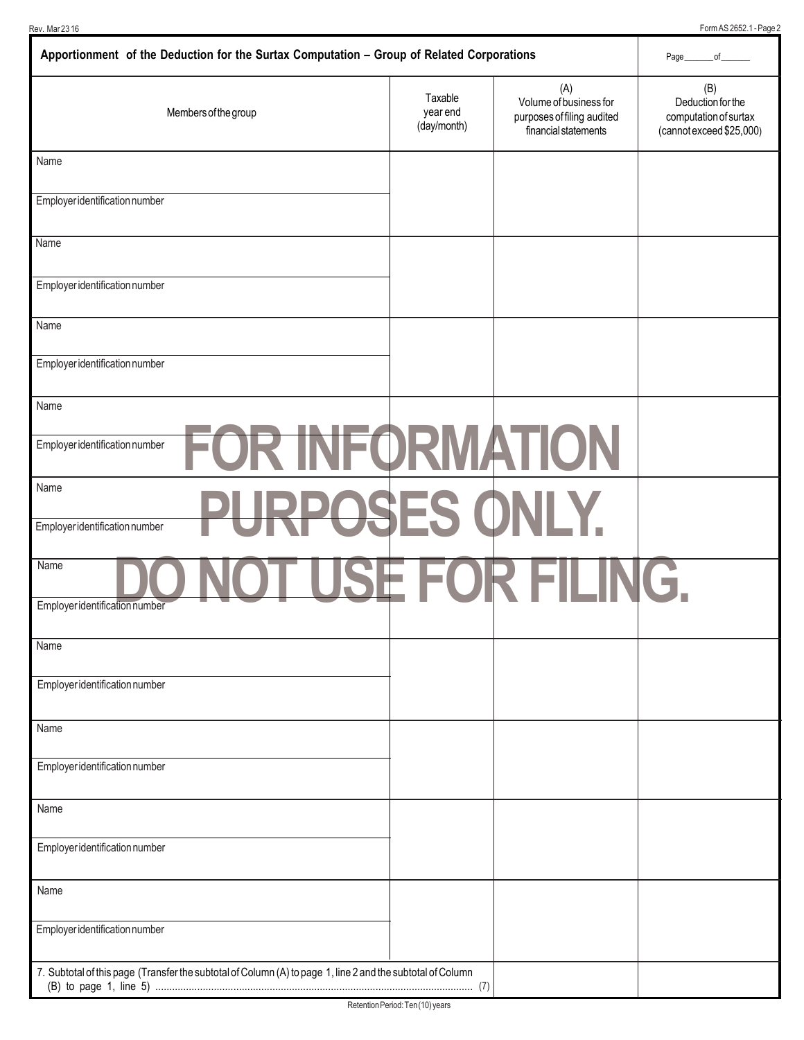Rev. Mar 23 16 Form AS 2652.1 - Page 2

| Apportionment of the Deduction for the Surtax Computation - Group of Related Corporations                  | Page<br>of                         |                                                                                     |                                                                               |
|------------------------------------------------------------------------------------------------------------|------------------------------------|-------------------------------------------------------------------------------------|-------------------------------------------------------------------------------|
| Members of the group                                                                                       | Taxable<br>year end<br>(day/month) | (A)<br>Volume of business for<br>purposes of filing audited<br>financial statements | (B)<br>Deduction for the<br>computation of surtax<br>(cannot exceed \$25,000) |
| Name                                                                                                       |                                    |                                                                                     |                                                                               |
| Employer identification number                                                                             |                                    |                                                                                     |                                                                               |
| Name                                                                                                       |                                    |                                                                                     |                                                                               |
| Employer identification number                                                                             |                                    |                                                                                     |                                                                               |
| Name                                                                                                       |                                    |                                                                                     |                                                                               |
| Employer identification number                                                                             |                                    |                                                                                     |                                                                               |
| Name                                                                                                       |                                    |                                                                                     |                                                                               |
| <b>FOR INFORMATION</b><br>Employer identification number                                                   |                                    |                                                                                     |                                                                               |
| Name<br>PURPOSES ONLY.<br>Employer identification number                                                   |                                    |                                                                                     |                                                                               |
| Name<br>Employer identification number                                                                     |                                    | USE FOR FILING.                                                                     |                                                                               |
| Name                                                                                                       |                                    |                                                                                     |                                                                               |
| Employer identification number                                                                             |                                    |                                                                                     |                                                                               |
| Name                                                                                                       |                                    |                                                                                     |                                                                               |
| Employer identification number                                                                             |                                    |                                                                                     |                                                                               |
| Name                                                                                                       |                                    |                                                                                     |                                                                               |
| Employer identification number                                                                             |                                    |                                                                                     |                                                                               |
| Name                                                                                                       |                                    |                                                                                     |                                                                               |
| Employer identification number                                                                             |                                    |                                                                                     |                                                                               |
| 7. Subtotal of this page (Transfer the subtotal of Column (A) to page 1, line 2 and the subtotal of Column |                                    |                                                                                     |                                                                               |